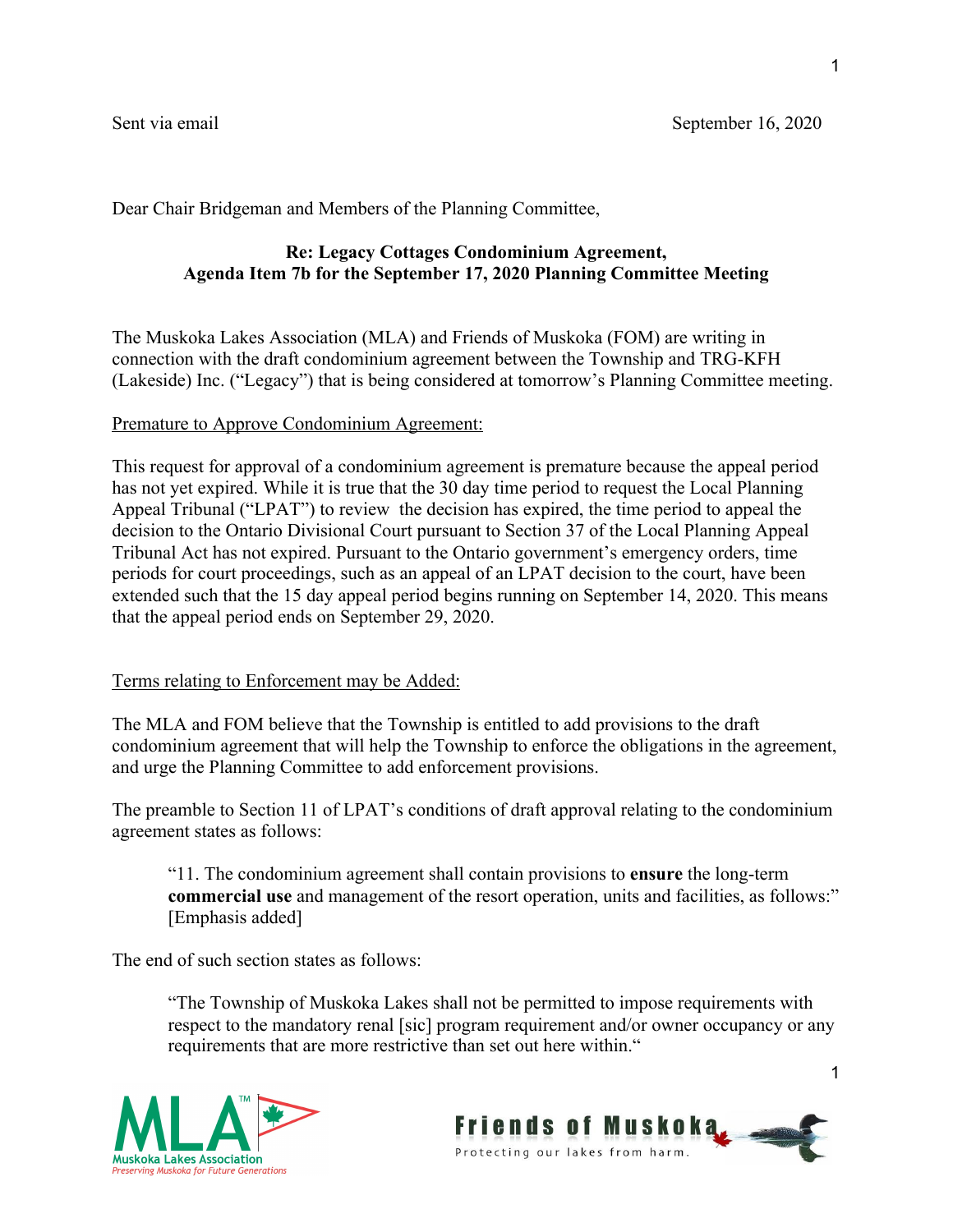Dear Chair Bridgeman and Members of the Planning Committee,

# **Re: Legacy Cottages Condominium Agreement, Agenda Item 7b for the September 17, 2020 Planning Committee Meeting**

The Muskoka Lakes Association (MLA) and Friends of Muskoka (FOM) are writing in connection with the draft condominium agreement between the Township and TRG-KFH (Lakeside) Inc. ("Legacy") that is being considered at tomorrow's Planning Committee meeting.

## Premature to Approve Condominium Agreement:

This request for approval of a condominium agreement is premature because the appeal period has not yet expired. While it is true that the 30 day time period to request the Local Planning Appeal Tribunal ("LPAT") to review the decision has expired, the time period to appeal the decision to the Ontario Divisional Court pursuant to Section 37 of the Local Planning Appeal Tribunal Act has not expired. Pursuant to the Ontario government's emergency orders, time periods for court proceedings, such as an appeal of an LPAT decision to the court, have been extended such that the 15 day appeal period begins running on September 14, 2020. This means that the appeal period ends on September 29, 2020.

## Terms relating to Enforcement may be Added:

The MLA and FOM believe that the Township is entitled to add provisions to the draft condominium agreement that will help the Township to enforce the obligations in the agreement, and urge the Planning Committee to add enforcement provisions.

The preamble to Section 11 of LPAT's conditions of draft approval relating to the condominium agreement states as follows:

"11. The condominium agreement shall contain provisions to **ensure** the long-term **commercial use** and management of the resort operation, units and facilities, as follows:" [Emphasis added]

The end of such section states as follows:

"The Township of Muskoka Lakes shall not be permitted to impose requirements with respect to the mandatory renal [sic] program requirement and/or owner occupancy or any requirements that are more restrictive than set out here within."





1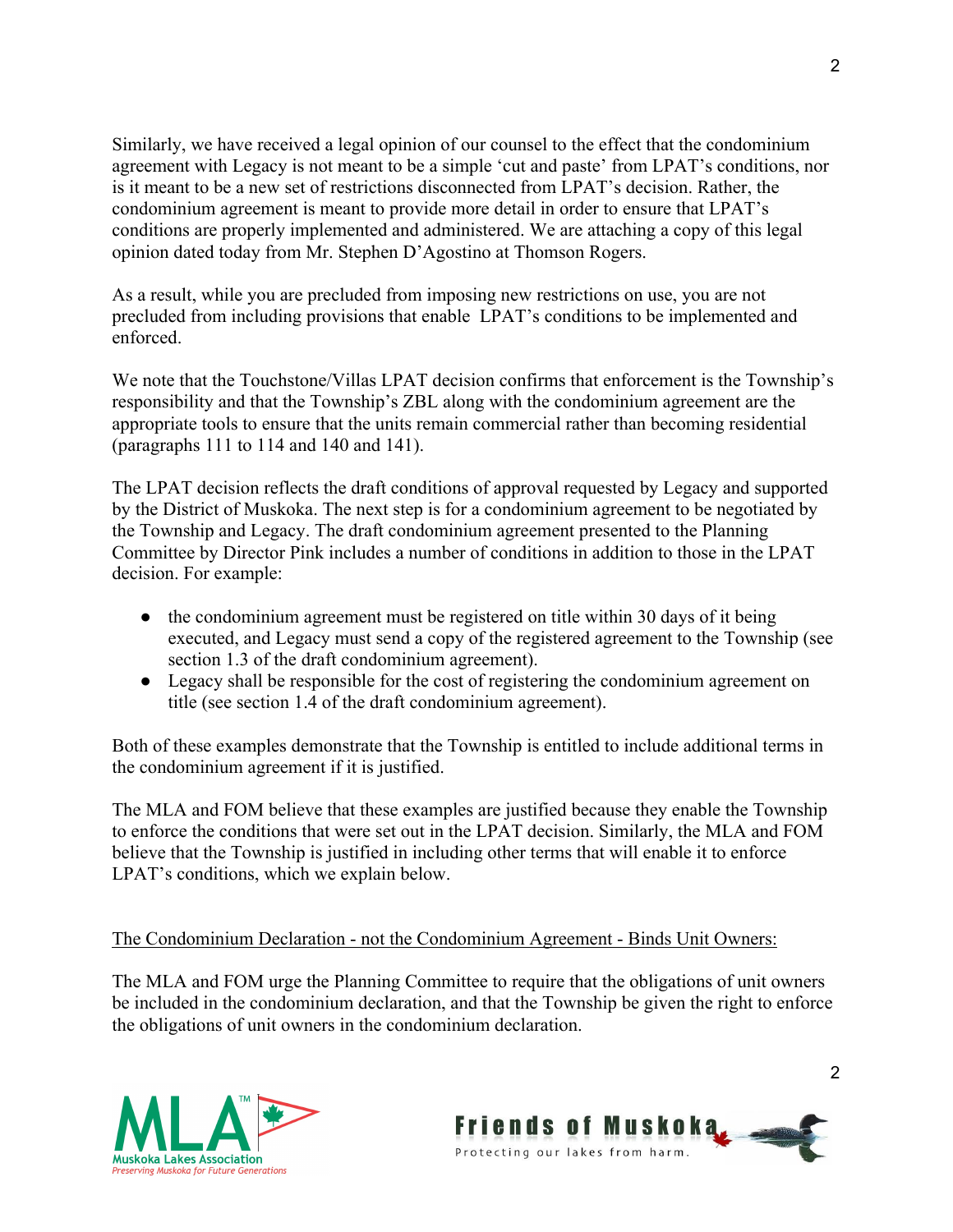Similarly, we have received a legal opinion of our counsel to the effect that the condominium agreement with Legacy is not meant to be a simple 'cut and paste' from LPAT's conditions, nor is it meant to be a new set of restrictions disconnected from LPAT's decision. Rather, the condominium agreement is meant to provide more detail in order to ensure that LPAT's conditions are properly implemented and administered. We are attaching a copy of this legal opinion dated today from Mr. Stephen D'Agostino at Thomson Rogers.

As a result, while you are precluded from imposing new restrictions on use, you are not precluded from including provisions that enable LPAT's conditions to be implemented and enforced.

We note that the Touchstone/Villas LPAT decision confirms that enforcement is the Township's responsibility and that the Township's ZBL along with the condominium agreement are the appropriate tools to ensure that the units remain commercial rather than becoming residential (paragraphs 111 to 114 and 140 and 141).

The LPAT decision reflects the draft conditions of approval requested by Legacy and supported by the District of Muskoka. The next step is for a condominium agreement to be negotiated by the Township and Legacy. The draft condominium agreement presented to the Planning Committee by Director Pink includes a number of conditions in addition to those in the LPAT decision. For example:

- the condominium agreement must be registered on title within 30 days of it being executed, and Legacy must send a copy of the registered agreement to the Township (see section 1.3 of the draft condominium agreement).
- Legacy shall be responsible for the cost of registering the condominium agreement on title (see section 1.4 of the draft condominium agreement).

Both of these examples demonstrate that the Township is entitled to include additional terms in the condominium agreement if it is justified.

The MLA and FOM believe that these examples are justified because they enable the Township to enforce the conditions that were set out in the LPAT decision. Similarly, the MLA and FOM believe that the Township is justified in including other terms that will enable it to enforce LPAT's conditions, which we explain below.

# The Condominium Declaration - not the Condominium Agreement - Binds Unit Owners:

The MLA and FOM urge the Planning Committee to require that the obligations of unit owners be included in the condominium declaration, and that the Township be given the right to enforce the obligations of unit owners in the condominium declaration.



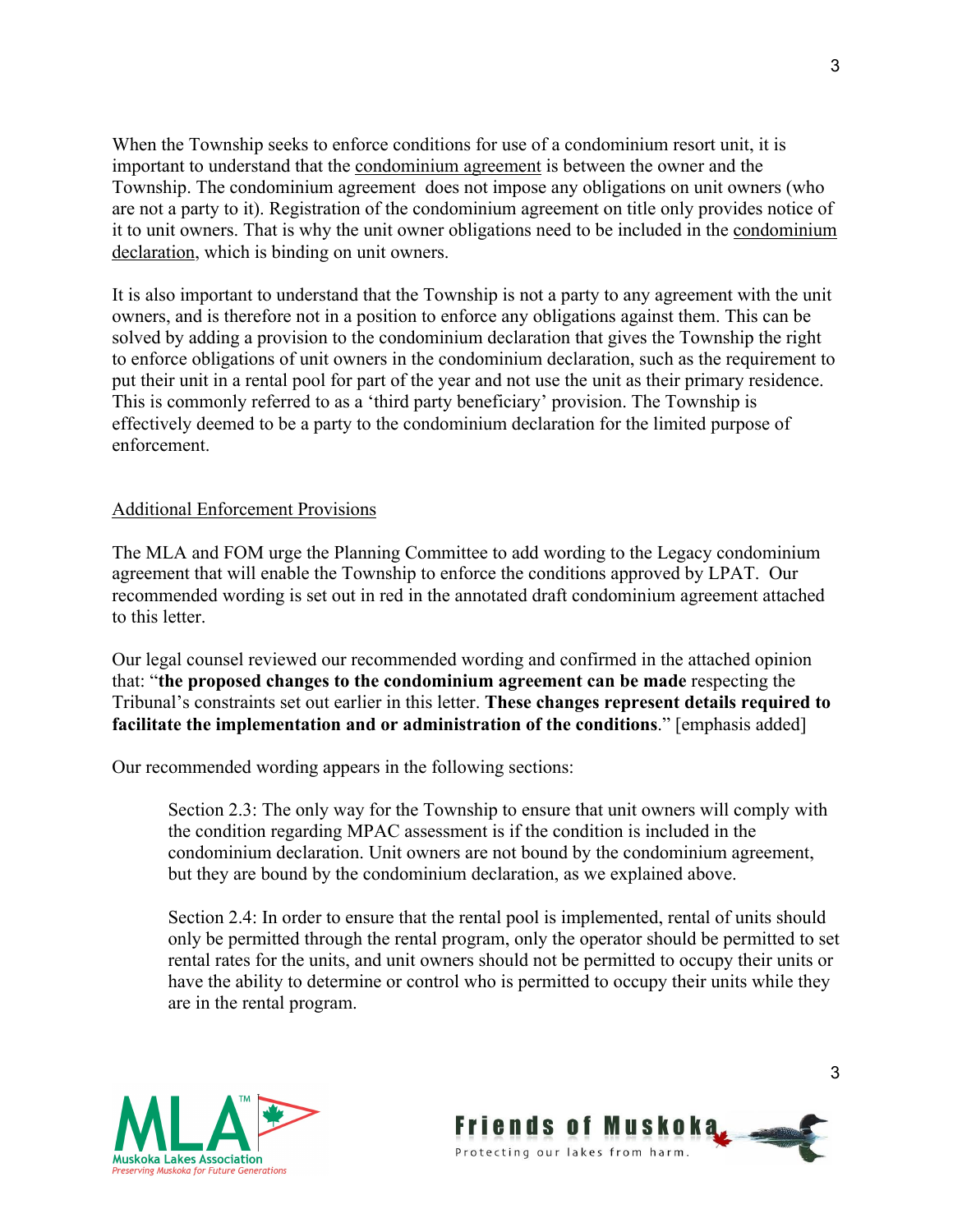When the Township seeks to enforce conditions for use of a condominium resort unit, it is important to understand that the condominium agreement is between the owner and the Township. The condominium agreement does not impose any obligations on unit owners (who are not a party to it). Registration of the condominium agreement on title only provides notice of it to unit owners. That is why the unit owner obligations need to be included in the condominium declaration, which is binding on unit owners.

It is also important to understand that the Township is not a party to any agreement with the unit owners, and is therefore not in a position to enforce any obligations against them. This can be solved by adding a provision to the condominium declaration that gives the Township the right to enforce obligations of unit owners in the condominium declaration, such as the requirement to put their unit in a rental pool for part of the year and not use the unit as their primary residence. This is commonly referred to as a 'third party beneficiary' provision. The Township is effectively deemed to be a party to the condominium declaration for the limited purpose of enforcement.

#### Additional Enforcement Provisions

The MLA and FOM urge the Planning Committee to add wording to the Legacy condominium agreement that will enable the Township to enforce the conditions approved by LPAT. Our recommended wording is set out in red in the annotated draft condominium agreement attached to this letter.

Our legal counsel reviewed our recommended wording and confirmed in the attached opinion that: "**the proposed changes to the condominium agreement can be made** respecting the Tribunal's constraints set out earlier in this letter. **These changes represent details required to facilitate the implementation and or administration of the conditions**." [emphasis added]

Our recommended wording appears in the following sections:

Section 2.3: The only way for the Township to ensure that unit owners will comply with the condition regarding MPAC assessment is if the condition is included in the condominium declaration. Unit owners are not bound by the condominium agreement, but they are bound by the condominium declaration, as we explained above.

Section 2.4: In order to ensure that the rental pool is implemented, rental of units should only be permitted through the rental program, only the operator should be permitted to set rental rates for the units, and unit owners should not be permitted to occupy their units or have the ability to determine or control who is permitted to occupy their units while they are in the rental program.



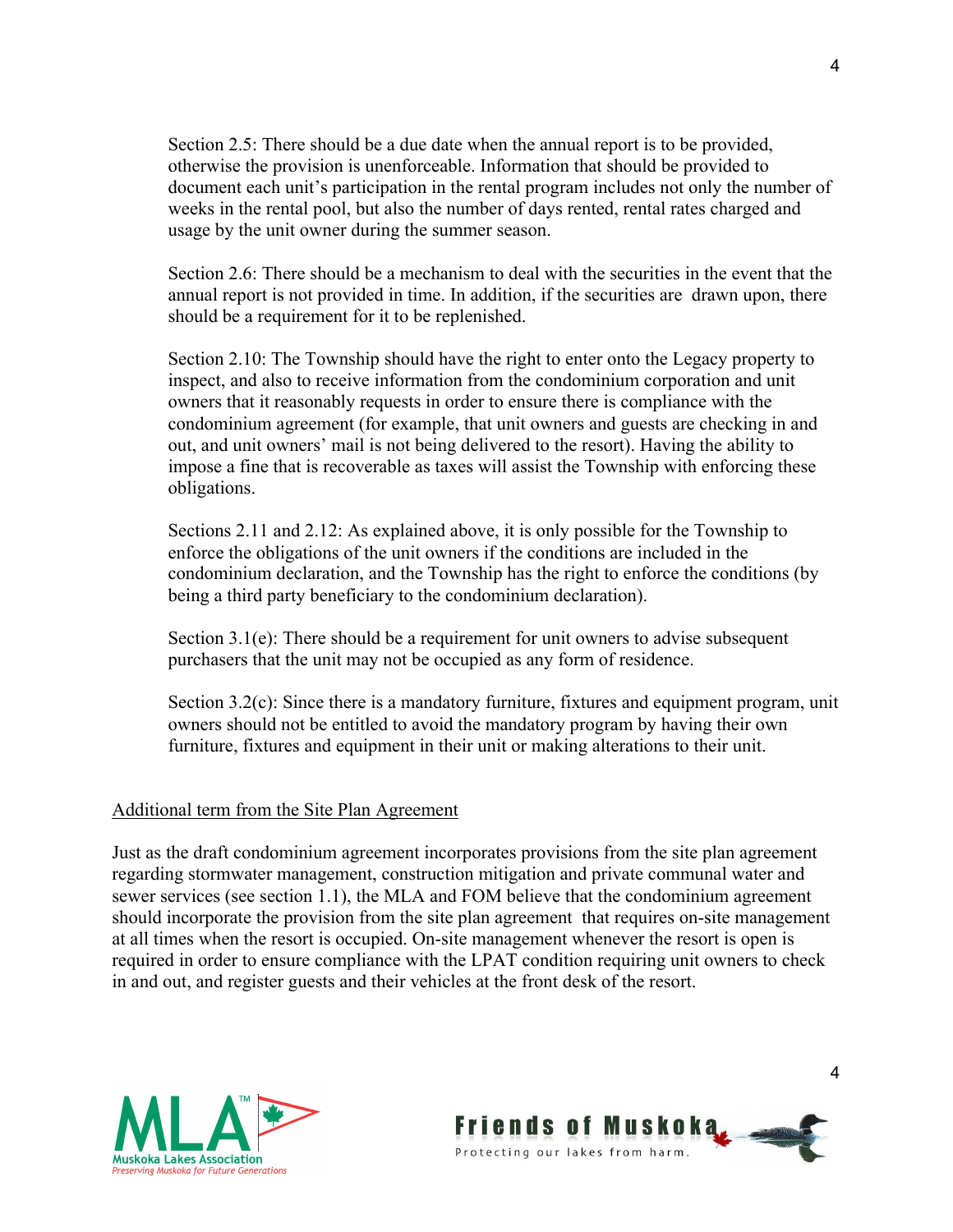Section 2.5: There should be a due date when the annual report is to be provided, otherwise the provision is unenforceable. Information that should be provided to document each unit's participation in the rental program includes not only the number of weeks in the rental pool, but also the number of days rented, rental rates charged and usage by the unit owner during the summer season.

Section 2.6: There should be a mechanism to deal with the securities in the event that the annual report is not provided in time. In addition, if the securities are drawn upon, there should be a requirement for it to be replenished.

Section 2.10: The Township should have the right to enter onto the Legacy property to inspect, and also to receive information from the condominium corporation and unit owners that it reasonably requests in order to ensure there is compliance with the condominium agreement (for example, that unit owners and guests are checking in and out, and unit owners' mail is not being delivered to the resort). Having the ability to impose a fine that is recoverable as taxes will assist the Township with enforcing these obligations.

Sections 2.11 and 2.12: As explained above, it is only possible for the Township to enforce the obligations of the unit owners if the conditions are included in the condominium declaration, and the Township has the right to enforce the conditions (by being a third party beneficiary to the condominium declaration).

Section 3.1(e): There should be a requirement for unit owners to advise subsequent purchasers that the unit may not be occupied as any form of residence.

Section 3.2(c): Since there is a mandatory furniture, fixtures and equipment program, unit owners should not be entitled to avoid the mandatory program by having their own furniture, fixtures and equipment in their unit or making alterations to their unit.

## Additional term from the Site Plan Agreement

Just as the draft condominium agreement incorporates provisions from the site plan agreement regarding stormwater management, construction mitigation and private communal water and sewer services (see section 1.1), the MLA and FOM believe that the condominium agreement should incorporate the provision from the site plan agreement that requires on-site management at all times when the resort is occupied. On-site management whenever the resort is open is required in order to ensure compliance with the LPAT condition requiring unit owners to check in and out, and register guests and their vehicles at the front desk of the resort.





4